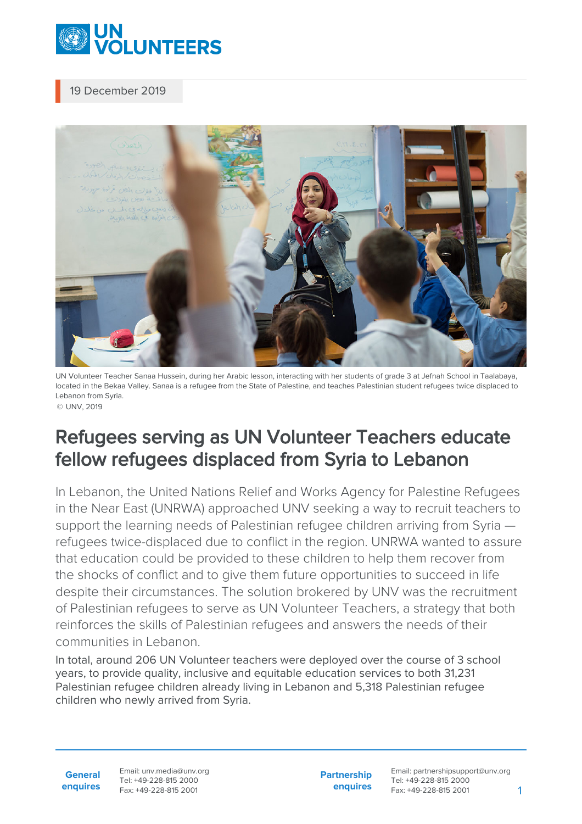

## 19 December 2019



UN Volunteer Teacher Sanaa Hussein, during her Arabic lesson, interacting with her students of grade 3 at Jefnah School in Taalabaya, located in the Bekaa Valley. Sanaa is a refugee from the State of Palestine, and teaches Palestinian student refugees twice displaced to Lebanon from Syria. © UNV, 2019

## Refugees serving as UN Volunteer Teachers educate fellow refugees displaced from Syria to Lebanon

In Lebanon, the United Nations Relief and Works Agency for Palestine Refugees in the Near East (UNRWA) approached UNV seeking a way to recruit teachers to support the learning needs of Palestinian refugee children arriving from Syria  $$ refugees twice-displaced due to conflict in the region. UNRWA wanted to assure that education could be provided to these children to help them recover from the shocks of conflict and to give them future opportunities to succeed in life despite their circumstances. The solution brokered by UNV was the recruitment of Palestinian refugees to serve as UN Volunteer Teachers, a strategy that both reinforces the skills of Palestinian refugees and answers the needs of their communities in Lebanon.

In total, around 206 UN Volunteer teachers were deployed over the course of 3 school years, to provide quality, inclusive and equitable education services to both 31,231 Palestinian refugee children already living in Lebanon and 5,318 Palestinian refugee children who newly arrived from Syria.

**General enquires** Email: unv.media@unv.org Tel: +49-228-815 2000 Fax: +49-228-815 2001

**Partnership enquires** Email: partnershipsupport@unv.org Tel: +49-228-815 2000 Fax: +49-228-815 2001 1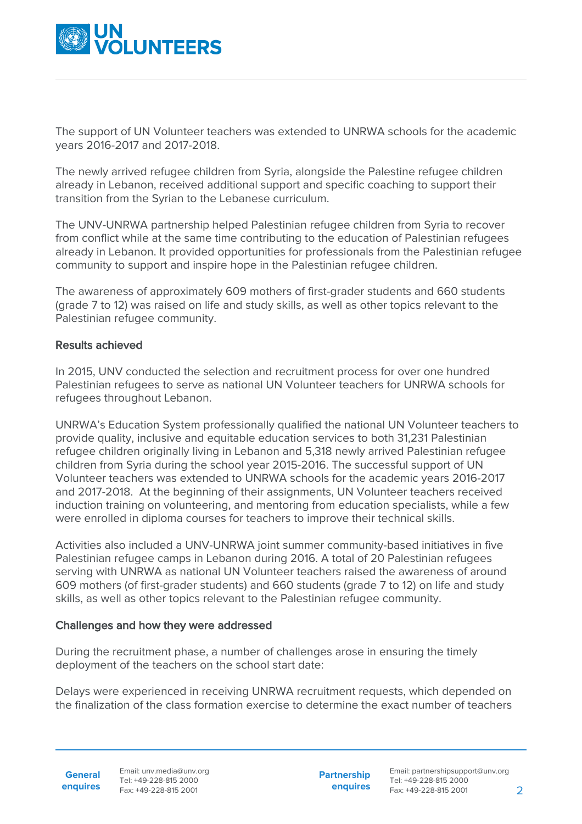

The support of UN Volunteer teachers was extended to UNRWA schools for the academic years 2016-2017 and 2017-2018.

The newly arrived refugee children from Syria, alongside the Palestine refugee children already in Lebanon, received additional support and specific coaching to support their transition from the Syrian to the Lebanese curriculum.

The UNV-UNRWA partnership helped Palestinian refugee children from Syria to recover from conflict while at the same time contributing to the education of Palestinian refugees already in Lebanon. It provided opportunities for professionals from the Palestinian refugee community to support and inspire hope in the Palestinian refugee children.

The awareness of approximately 609 mothers of first-grader students and 660 students (grade 7 to 12) was raised on life and study skills, as well as other topics relevant to the Palestinian refugee community.

## Results achieved

In 2015, UNV conducted the selection and recruitment process for over one hundred Palestinian refugees to serve as national UN Volunteer teachers for UNRWA schools for refugees throughout Lebanon.

UNRWA's Education System professionally qualified the national UN Volunteer teachers to provide quality, inclusive and equitable education services to both 31,231 Palestinian refugee children originally living in Lebanon and 5,318 newly arrived Palestinian refugee children from Syria during the school year 2015-2016. The successful support of UN Volunteer teachers was extended to UNRWA schools for the academic years 2016-2017 and 2017-2018. At the beginning of their assignments, UN Volunteer teachers received induction training on volunteering, and mentoring from education specialists, while a few were enrolled in diploma courses for teachers to improve their technical skills.

Activities also included a UNV-UNRWA joint summer community-based initiatives in five Palestinian refugee camps in Lebanon during 2016. A total of 20 Palestinian refugees serving with UNRWA as national UN Volunteer teachers raised the awareness of around 609 mothers (of first-grader students) and 660 students (grade 7 to 12) on life and study skills, as well as other topics relevant to the Palestinian refugee community.

## Challenges and how they were addressed

During the recruitment phase, a number of challenges arose in ensuring the timely deployment of the teachers on the school start date:

Delays were experienced in receiving UNRWA recruitment requests, which depended on the finalization of the class formation exercise to determine the exact number of teachers

**General enquires** Email: unv.media@unv.org Tel: +49-228-815 2000 Fax: +49-228-815 2001

**Partnership enquires**

Email: partnershipsupport@unv.org Tel: +49-228-815 2000 Fax: +49-228-815 2001 2